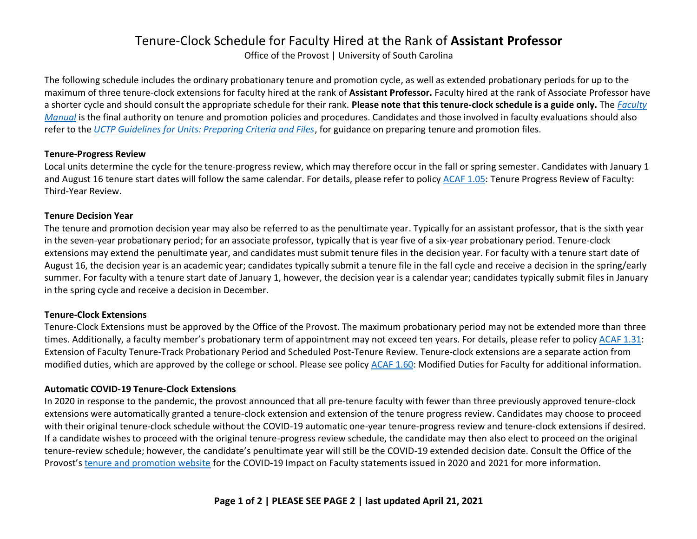# Tenure-Clock Schedule for Faculty Hired at the Rank of **Assistant Professor**

Office of the Provost | University of South Carolina

The following schedule includes the ordinary probationary tenure and promotion cycle, as well as extended probationary periods for up to the maximum of three tenure-clock extensions for faculty hired at the rank of **Assistant Professor.** Faculty hired at the rank of Associate Professor have a shorter cycle and should consult the appropriate schedule for their rank. **Please note that this tenure-clock schedule is a guide only.** The *[Faculty](https://sc.edu/about/offices_and_divisions/provost/policiesandprocedures/facultymanuals/index.php)  [Manual](https://sc.edu/about/offices_and_divisions/provost/policiesandprocedures/facultymanuals/index.php)* is the final authority on tenure and promotion policies and procedures. Candidates and those involved in faculty evaluations should also refer to the *[UCTP Guidelines for Units: Preparing Criteria and Files](https://sc.edu/provost/forms/goldenrod.pdf)*, for guidance on preparing tenure and promotion files.

#### **Tenure-Progress Review**

Local units determine the cycle for the tenure-progress review, which may therefore occur in the fall or spring semester. Candidates with January 1 and August 16 tenure start dates will follow the same calendar. For details, please refer to policy [ACAF 1.05:](https://sc.edu/policies/acaf105.pdf) Tenure Progress Review of Faculty: Third-Year Review.

#### **Tenure Decision Year**

The tenure and promotion decision year may also be referred to as the penultimate year. Typically for an assistant professor, that is the sixth year in the seven-year probationary period; for an associate professor, typically that is year five of a six-year probationary period. Tenure-clock extensions may extend the penultimate year, and candidates must submit tenure files in the decision year. For faculty with a tenure start date of August 16, the decision year is an academic year; candidates typically submit a tenure file in the fall cycle and receive a decision in the spring/early summer. For faculty with a tenure start date of January 1, however, the decision year is a calendar year; candidates typically submit files in January in the spring cycle and receive a decision in December.

### **Tenure-Clock Extensions**

Tenure-Clock Extensions must be approved by the Office of the Provost. The maximum probationary period may not be extended more than three times. Additionally, a faculty member's probationary term of appointment may not exceed ten years. For details, please refer to polic[y ACAF 1.31:](https://sc.edu/policies/acaf131.pdf) Extension of Faculty Tenure-Track Probationary Period and Scheduled Post-Tenure Review. Tenure-clock extensions are a separate action from modified duties, which are approved by the college or school. Please see policy [ACAF 1.60:](https://www.sc.edu/policies/ppm/acaf160.pdf) Modified Duties for Faculty for additional information.

### **Automatic COVID-19 Tenure-Clock Extensions**

In 2020 in response to the pandemic, the provost announced that all pre-tenure faculty with fewer than three previously approved tenure-clock extensions were automatically granted a tenure-clock extension and extension of the tenure progress review. Candidates may choose to proceed with their original tenure-clock schedule without the COVID-19 automatic one-year tenure-progress review and tenure-clock extensions if desired. If a candidate wishes to proceed with the original tenure-progress review schedule, the candidate may then also elect to proceed on the original tenure-review schedule; however, the candidate's penultimate year will still be the COVID-19 extended decision date. Consult the Office of the Provost's [tenure and promotion website](https://sc.edu/about/offices_and_divisions/provost/faculty/tenure/index.php) for the COVID-19 Impact on Faculty statements issued in 2020 and 2021 for more information.